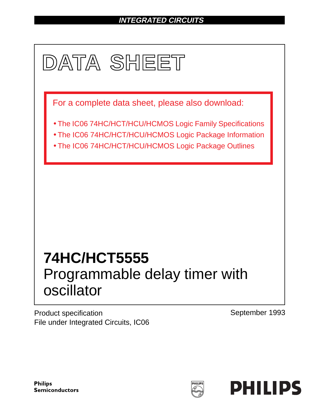# **INTEGRATED CIRCUITS**



Product specification File under Integrated Circuits, IC06 September 1993

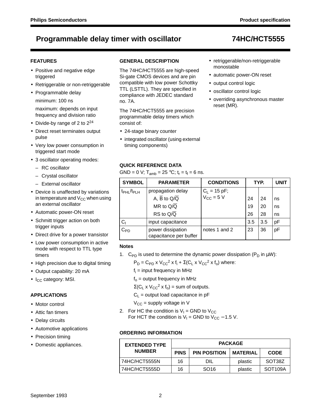### **FEATURES**

- Positive and negative edge triggered
- Retriggerable or non-retriggerable
- Programmable delay minimum: 100 ns

maximum: depends on input frequency and division ratio

- Divide-by range of 2 to  $2^{24}$
- Direct reset terminates output pulse
- Very low power consumption in triggered start mode
- 3 oscillator operating modes:
	- RC oscillator
	- Crystal oscillator
	- External oscillator
- Device is unaffected by variations in temperature and  $V_{CC}$  when using an external oscillator
- Automatic power-ON reset
- Schmitt trigger action on both trigger inputs
- Direct drive for a power transistor
- Low power consumption in active mode with respect to TTL type timers
- High precision due to digital timing
- Output capability: 20 mA
- $\bullet$  I<sub>CC</sub> category: MSI.

#### **APPLICATIONS**

- Motor control
- Attic fan timers
- Delay circuits
- Automotive applications
- Precision timing
- Domestic appliances.

### **GENERAL DESCRIPTION**

The 74HC/HCT5555 are high-speed Si-gate CMOS devices and are pin compatible with low power Schottky TTL (LSTTL). They are specified in compliance with JEDEC standard no. 7A.

The 74HC/HCT5555 are precision programmable delay timers which consist of:

- 24-stage binary counter
- integrated oscillator (using external timing components)

### **QUICK REFERENCE DATA**

GND = 0 V;  $T_{amb}$  = 25 °C;  $t_r = t_f = 6$  ns.

| <b>SYMBOL</b>                      | <b>PARAMETER</b>                            | <b>CONDITIONS</b>                                 |     | TYP. | UNIT |
|------------------------------------|---------------------------------------------|---------------------------------------------------|-----|------|------|
| t <sub>PHL</sub> /t <sub>PLH</sub> | propagation delay                           | $C_L = 15 \text{ pF}$ ;<br>$V_{CC} = 5 \text{ V}$ |     |      |      |
|                                    | A, $\overline{B}$ to $Q/\overline{Q}$       |                                                   | 24  | 24   | ns   |
|                                    | MR to $Q/\overline{Q}$                      |                                                   | 19  | 20   | ns   |
|                                    | RS to $Q/\overline{Q}$                      |                                                   | 26  | 28   | ns   |
| Cı                                 | input capacitance                           |                                                   | 3.5 | 3.5  | рF   |
| $C_{PD}$                           | power dissipation<br>capacitance per buffer | notes 1 and 2                                     | 23  | 36   | pF   |

#### **Notes**

1. C<sub>PD</sub> is used to determine the dynamic power dissipation ( $P_D$  in  $\mu W$ ):

 $P_D = C_{PD} \times V_{CC}^2 \times f_i + \Sigma (C_L \times V_{CC}^2 \times f_o)$  where:

- fi = input frequency in MHz
- $f<sub>o</sub>$  = output frequency in MHz

 $\Sigma$ (C<sub>L</sub> x V<sub>CC</sub><sup>2</sup> x f<sub>o</sub>) = sum of outputs.

 $C_L$  = output load capacitance in pF

- $V_{CC}$  = supply voltage in V
- 2. For HC the condition is  $V_1$  = GND to  $V_{CC}$ For HCT the condition is  $V_1$  = GND to  $V_{CC}$  – 1.5 V.

#### **ORDERING INFORMATION**

| <b>EXTENDED TYPE</b> |             | <b>PACKAGE</b>      |                 |                      |  |  |  |  |  |  |  |
|----------------------|-------------|---------------------|-----------------|----------------------|--|--|--|--|--|--|--|
| <b>NUMBER</b>        | <b>PINS</b> | <b>PIN POSITION</b> | <b>MATERIAL</b> | <b>CODE</b>          |  |  |  |  |  |  |  |
| 74HC/HCT5555N        | 16          | DIL                 | plastic         | SOT38Z               |  |  |  |  |  |  |  |
| 74HC/HCT5555D        | 16          | SO <sub>16</sub>    | plastic         | SOT <sub>109</sub> A |  |  |  |  |  |  |  |

• retriggerable/non-retriggerable

• overriding asynchronous master

• automatic power-ON reset

monostable

reset (MR).

• output control logic • oscillator control logic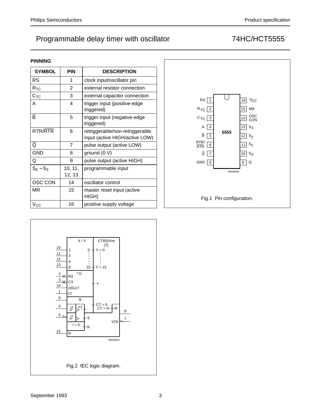### **PINNING**

| <b>SYMBOL</b>           | PIN               | <b>DESCRIPTION</b>                                                |
|-------------------------|-------------------|-------------------------------------------------------------------|
| RS                      | 1                 | clock input/oscillator pin                                        |
| $R_{TC}$                | 2                 | external resistor connection                                      |
| $C_{TC}$                | 3                 | external capacitor connection                                     |
| А                       | 4                 | trigger input (positive-edge<br>triggered)                        |
| $\overline{\mathsf{B}}$ | 5                 | trigger input (negative-edge<br>triggered)                        |
| RTR/RTR                 | 6                 | retriggerable/non-retriggerable<br>input (active HIGH/active LOW) |
| ō                       | 7                 | pulse output (active LOW)                                         |
| <b>GND</b>              | 8                 | ground $(0 V)$                                                    |
| Q                       | 9                 | pulse output (active HIGH)                                        |
| $S_0 - S_3$             | 10, 11,<br>12, 13 | programmable input                                                |
| OSC CON                 | 14                | oscillator control                                                |
| ΜR                      | 15                | master reset input (active<br>HIGH)                               |
| $V_{CC}$                | 16                | positive supply voltage                                           |



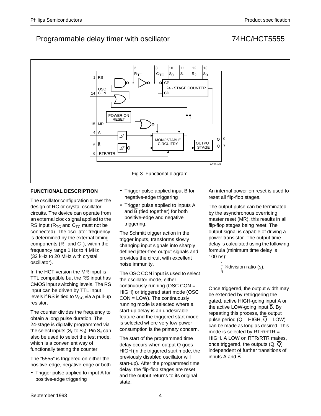#### 2 3 10 11 12 13  $R_{TC}$   $C_{TC}$  $S_0$   $|S_1$   $|S_2$   $|S_3$ RS 1 CP 24 - STAGE COUNTER OSC **CON** 14 CD POWER-ON RESET 15 MR 4 A D MONOSTABLE  $\Omega$ 9 OUTPUT  $\overline{B}$ **CIRCUITRY** 5 OUTPUT **Q** 7 RTR/RTR 6 MGA644 Fig.3 Functional diagram.

### **FUNCTIONAL DESCRIPTION**

The oscillator configuration allows the design of RC or crystal oscillator circuits. The device can operate from an external clock signal applied to the RS input ( $R_{TC}$  and  $C_{TC}$  must not be connected). The oscillator frequency is determined by the external timing components ( $R_T$  and  $C_T$ ), within the frequency range 1 Hz to 4 MHz (32 kHz to 20 MHz with crystal oscillator).

In the HCT version the MR input is TTL compatible but the RS input has CMOS input switching levels. The RS input can be driven by TTL input levels if RS is tied to  $V_{CC}$  via a pull-up resistor.

The counter divides the frequency to obtain a long pulse duration. The 24-stage is digitally programmed via the select inputs  $(S_0$  to  $S_3)$ . Pin  $S_3$  can also be used to select the test mode, which is a convenient way of functionally testing the counter.

The "5555" is triggered on either the positive-edge, negative-edge or both.

• Trigger pulse applied to input A for positive-edge triggering

- Trigger pulse applied input  $\overline{B}$  for negative-edge triggering
- Trigger pulse applied to inputs A and  $\overline{B}$  (tied together) for both positive-edge and negative triggering.

The Schmitt trigger action in the trigger inputs, transforms slowly changing input signals into sharply defined jitter-free output signals and provides the circuit with excellent noise immunity.

The OSC CON input is used to select the oscillator mode, either continuously running (OSC CON = HIGH) or triggered start mode (OSC CON = LOW). The continuously running mode is selected where a start-up delay is an undesirable feature and the triggered start mode is selected where very low power consumption is the primary concern.

The start of the programmed time delay occurs when output Q goes HIGH (in the triggered start mode, the previously disabled oscillator will start-up). After the programmed time delay, the flip-flop stages are reset and the output returns to its original state.

An internal power-on reset is used to reset all flip-flop stages.

The output pulse can be terminated by the asynchronous overriding master reset (MR), this results in all flip-flop stages being reset. The output signal is capable of driving a power transistor. The output time delay is calculated using the following formula (minimum time delay is 100 ns):

> 1 f i  $\times$  division ratio (s).

Once triggered, the output width may be extended by retriggering the gated, active HIGH-going input A or the active LOW-going input B. By repeating this process, the output pulse period ( $Q = HIGH$ ,  $\overline{Q} = LOW$ ) can be made as long as desired. This mode is selected by  $RTR/RTR =$ HIGH. A LOW on RTR/RTR makes, once triggered, the outputs  $(Q, \overline{Q})$ independent of further transitions of inputs A and B.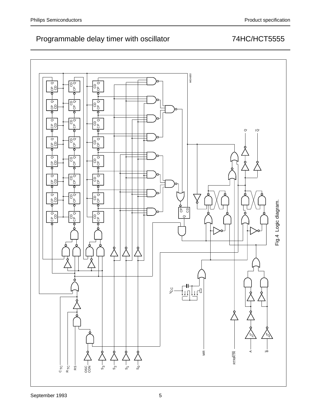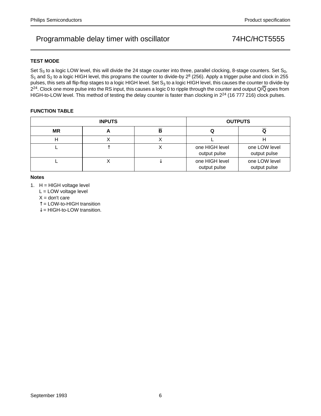### **TEST MODE**

Set  $S_3$  to a logic LOW level, this will divide the 24 stage counter into three, parallel clocking, 8-stage counters. Set  $S_0$ ,  $S_1$  and  $S_2$  to a logic HIGH level, this programs the counter to divide-by  $2^8$  (256). Apply a trigger pulse and clock in 255 pulses, this sets all flip-flop stages to a logic HIGH level. Set  $S_3$  to a logic HIGH level, this causes the counter to divide-by  $2^{24}$ . Clock one more pulse into the RS input, this causes a logic 0 to ripple through the counter and output Q/ $\overline{Q}$  goes from HIGH-to-LOW level. This method of testing the delay counter is faster than clocking in 2<sup>24</sup> (16 777 216) clock pulses.

### **FUNCTION TABLE**

|           | <b>INPUTS</b> |                                | <b>OUTPUTS</b>                |
|-----------|---------------|--------------------------------|-------------------------------|
| <b>MR</b> | n             |                                |                               |
|           | ⌒             |                                | п                             |
|           |               | one HIGH level<br>output pulse | one LOW level<br>output pulse |
|           |               | one HIGH level<br>output pulse | one LOW level<br>output pulse |

#### **Notes**

1.  $H = HIGH$  voltage level

L = LOW voltage level

 $X =$  don't care

 $\hat{\uparrow}$  = LOW-to-HIGH transition

 $\downarrow$  = HIGH-to-LOW transition.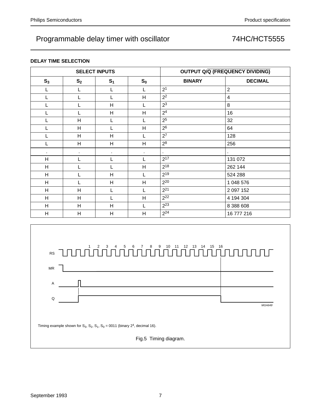### **DELAY TIME SELECTION**

|              |                | <b>SELECT INPUTS</b> |                |                | <b>OUTPUT Q/Q (FREQUENCY DIVIDING)</b> |
|--------------|----------------|----------------------|----------------|----------------|----------------------------------------|
| $S_3$        | S <sub>2</sub> | S <sub>1</sub>       | $S_0$          | <b>BINARY</b>  | <b>DECIMAL</b>                         |
| L            | L              |                      | L              | 2 <sup>1</sup> | $\overline{2}$                         |
| L            | L              |                      | H              | 2 <sup>2</sup> | $\overline{4}$                         |
| L            | L              | H                    | L              | 2 <sup>3</sup> | 8                                      |
| L            | L              | H                    | H              | 2 <sup>4</sup> | 16                                     |
| L            | H              |                      | L              | 2 <sup>5</sup> | 32                                     |
|              | H              |                      | H              | 2 <sup>6</sup> | 64                                     |
|              | H              | H                    | L              | $2^7$          | 128                                    |
| Г            | H              | H                    | H              | $2^8$          | 256                                    |
| $\mathbf{r}$ | $\blacksquare$ | $\blacksquare$       | $\blacksquare$ | ÷.             | $\blacksquare$                         |
| H            | L              | L                    | L              | $2^{17}$       | 131 072                                |
| H            | L              |                      | H              | $2^{18}$       | 262 144                                |
| H            |                | H                    | L              | 219            | 524 288                                |
| H            |                | H                    | H              | $2^{20}$       | 1 048 576                              |
| H            | H              |                      | L              | $2^{21}$       | 2 097 152                              |
| H            | H              |                      | H              | $2^{22}$       | 4 194 304                              |
| H            | H              | H                    | L              | $2^{23}$       | 8 388 608                              |
| H            | H              | Н                    | H              | $2^{24}$       | 16 777 216                             |

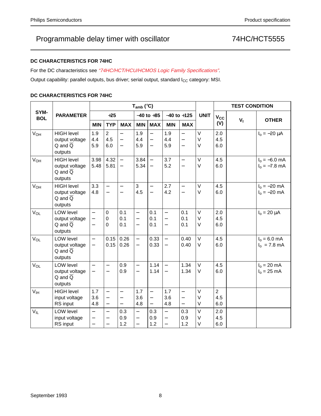### **DC CHARACTERISTICS FOR 74HC**

For the DC characteristics see "74HC/HCT/HCU/HCMOS Logic Family Specifications".

Output capability: parallel outputs, bus driver; serial output, standard I<sub>CC</sub> category: MSI.

### **DC CHARACTERISTICS FOR 74HC**

|                       |                                                                          |                                                           |                                                                           |                                                                  | $T_{amb}$ ( $°C$ )                                                               |                                                        |                                                                  |                                                                        |                  |                              | <b>TEST CONDITION</b> |                                    |
|-----------------------|--------------------------------------------------------------------------|-----------------------------------------------------------|---------------------------------------------------------------------------|------------------------------------------------------------------|----------------------------------------------------------------------------------|--------------------------------------------------------|------------------------------------------------------------------|------------------------------------------------------------------------|------------------|------------------------------|-----------------------|------------------------------------|
| SYM-<br><b>BOL</b>    | <b>PARAMETER</b>                                                         |                                                           | $+25$                                                                     |                                                                  |                                                                                  | $-40$ to $+85$                                         | $-40$ to $+125$                                                  |                                                                        | <b>UNIT</b>      | $V_{CC}$                     |                       | <b>OTHER</b>                       |
|                       |                                                                          | <b>MIN</b>                                                | <b>TYP</b>                                                                | <b>MAX</b>                                                       | <b>MIN</b>                                                                       | <b>MAX</b>                                             | <b>MIN</b>                                                       | <b>MAX</b>                                                             |                  | (V)                          | $V_{\parallel}$       |                                    |
| $V_{OH}$              | <b>HIGH level</b><br>output voltage<br>$Q$ and $\overline{Q}$<br>outputs | 1.9<br>4.4<br>5.9                                         | $\overline{2}$<br>4.5<br>6.0                                              | $\equiv$<br>$\overline{\phantom{0}}$                             | 1.9<br>4.4<br>5.9                                                                | $\overline{\phantom{0}}$<br>$\overline{\phantom{0}}$   | 1.9<br>4.4<br>5.9                                                | $\overline{\phantom{0}}$<br>$\overline{\phantom{0}}$                   | V<br>V<br>V      | 2.0<br>4.5<br>6.0            |                       | $I_0 = -20 \mu A$                  |
| <b>V<sub>OH</sub></b> | <b>HIGH level</b><br>output voltage<br>$Q$ and $\overline{Q}$<br>outputs | 3.98<br>5.48                                              | 4.32<br>5.81                                                              | $\overline{\phantom{0}}$<br>$\overline{\phantom{0}}$             | 3.84<br>5.34                                                                     | $\equiv$<br>$\overline{\phantom{m}}$                   | 3.7<br>5.2                                                       | $\qquad \qquad -$<br>$\qquad \qquad -$                                 | V<br>V           | 4.5<br>6.0                   |                       | $I_0 = -6.0$ mA<br>$I_0 = -7.8$ mA |
| <b>V<sub>OH</sub></b> | <b>HIGH level</b><br>output voltage<br>$Q$ and $\overline{Q}$<br>outputs | 3.3<br>4.8                                                | $\overline{\phantom{0}}$<br>$\qquad \qquad -$                             | $\overline{\phantom{0}}$<br>$\overline{\phantom{m}}$             | 3<br>4.5                                                                         | $\overline{\phantom{0}}$<br>$\overline{\phantom{0}}$   | 2.7<br>4.2                                                       | $\overline{\phantom{0}}$<br>$\overline{\phantom{0}}$                   | $\vee$<br>V      | 4.5<br>6.0                   |                       | $I_0 = -20$ mA<br>$I_0 = -20$ mA   |
| $V_{OL}$              | LOW level<br>output voltage<br>$Q$ and $\overline{Q}$<br>outputs         | $\overline{\phantom{0}}$<br>$\equiv$<br>$\overline{a}$    | $\pmb{0}$<br>$\boldsymbol{0}$<br>0                                        | 0.1<br>0.1<br>0.1                                                | $\overline{\phantom{0}}$<br>$\overline{\phantom{0}}$<br>$\overline{\phantom{0}}$ | 0.1<br>0.1<br>0.1                                      | $\overline{\phantom{0}}$<br>$\equiv$<br>$\overline{\phantom{0}}$ | 0.1<br>0.1<br>0.1                                                      | $\vee$<br>V<br>V | 2.0<br>4.5<br>6.0            |                       | $I_0 = 20 \mu A$                   |
| $V_{OL}$              | <b>LOW level</b><br>output voltage<br>$Q$ and $\overline{Q}$<br>outputs  | $\overline{\phantom{0}}$<br>$\overline{\phantom{0}}$      | 0.15<br>0.15                                                              | 0.26<br>0.26                                                     | $\qquad \qquad -$<br>$\qquad \qquad -$                                           | 0.33<br>0.33                                           | $\overline{\phantom{0}}$<br>$\overline{\phantom{0}}$             | 0.40<br>0.40                                                           | $\vee$<br>V      | 4.5<br>6.0                   |                       | $I_0 = 6.0$ mA<br>$I_0$ = 7.8 mA   |
| $V_{OL}$              | LOW level<br>output voltage<br>$Q$ and $\overline{Q}$<br>outputs         | $\overline{\phantom{0}}$<br>$\overline{\phantom{0}}$      | $\overline{\phantom{0}}$<br>$\overline{\phantom{0}}$                      | 0.9<br>0.9                                                       | $\qquad \qquad -$<br>$\qquad \qquad -$                                           | 1.14<br>1.14                                           | $\equiv$<br>$\overline{\phantom{m}}$                             | 1.34<br>1.34                                                           | $\vee$<br>V      | 4.5<br>6.0                   |                       | $I_0 = 20$ mA<br>$I_0 = 25$ mA     |
| V <sub>IH</sub>       | <b>HIGH level</b><br>input voltage<br>RS input                           | 1.7<br>3.6<br>4.8                                         | $\equiv$<br>$\equiv$<br>$\overline{\phantom{0}}$                          | $\equiv$<br>$\overline{\phantom{0}}$<br>$\overline{\phantom{0}}$ | 1.7<br>3.6<br>4.8                                                                | $\equiv$<br>$\overline{\phantom{0}}$<br>$\overline{a}$ | 1.7<br>3.6<br>4.8                                                | $\overline{\phantom{0}}$<br>$\overline{\phantom{0}}$<br>$\overline{a}$ | V<br>V<br>V      | $\overline{a}$<br>4.5<br>6.0 |                       |                                    |
| $V_{IL}$              | LOW level<br>input voltage<br>RS input                                   | $\equiv$<br>$\qquad \qquad -$<br>$\overline{\phantom{m}}$ | $\overline{\phantom{0}}$<br>$\qquad \qquad -$<br>$\overline{\phantom{0}}$ | 0.3<br>0.9<br>1.2                                                | $\qquad \qquad -$<br>—<br>$\overline{\phantom{0}}$                               | 0.3<br>0.9<br>1.2                                      | $\equiv$<br>$\qquad \qquad -$<br>$\equiv$                        | 0.3<br>0.9<br>1.2                                                      | $\vee$<br>V<br>V | 2.0<br>4.5<br>6.0            |                       |                                    |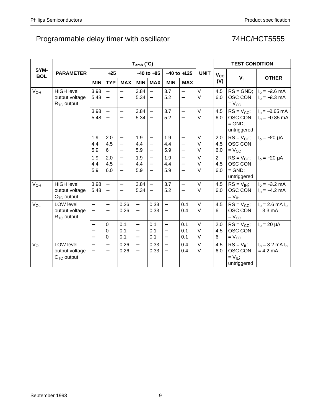|                    |                                                        |                                                      |                                                      |                                                                  | $T_{amb}$ (°C)                                                            |                                                                           |                                                  |                                                                  |                       |                              | <b>TEST CONDITION</b>                                     |                                            |
|--------------------|--------------------------------------------------------|------------------------------------------------------|------------------------------------------------------|------------------------------------------------------------------|---------------------------------------------------------------------------|---------------------------------------------------------------------------|--------------------------------------------------|------------------------------------------------------------------|-----------------------|------------------------------|-----------------------------------------------------------|--------------------------------------------|
| SYM-<br><b>BOL</b> | <b>PARAMETER</b>                                       |                                                      | $+25$                                                |                                                                  |                                                                           | $-40$ to $+85$                                                            |                                                  | $-40$ to $+125$                                                  | <b>UNIT</b>           | $V_{\rm CC}$                 |                                                           |                                            |
|                    |                                                        | <b>MIN</b>                                           | <b>TYP</b>                                           | <b>MAX</b>                                                       | <b>MIN</b>                                                                | <b>MAX</b>                                                                | <b>MIN</b>                                       | <b>MAX</b>                                                       |                       | (V)                          | V <sub>1</sub>                                            | <b>OTHER</b>                               |
| V <sub>OH</sub>    | <b>HIGH level</b><br>output voltage<br>$R_{TC}$ output | 3.98<br>5.48                                         | $\overline{\phantom{0}}$                             |                                                                  | 3.84<br>5.34                                                              | $\overline{\phantom{m}}$                                                  | 3.7<br>5.2                                       | $\equiv$                                                         | $\vee$<br>$\vee$      | 4.5<br>6.0                   | $RS = GND$ ;<br>OSC CON<br>$=$ $V_{CC}$                   | $I_0 = -2.6$ mA<br>$I_0 = -3.3$ mA         |
|                    |                                                        | 3.98<br>5.48                                         | $\overline{\phantom{0}}$<br>$\overline{\phantom{0}}$ | $\qquad \qquad -$<br>$\overline{\phantom{0}}$                    | 3.84<br>5.34                                                              |                                                                           | 3.7<br>5.2                                       | $\equiv$<br>$\overline{\phantom{0}}$                             | $\vee$<br>V           | 4.5<br>6.0                   | $RS = V_{CC}$ ;<br>OSC CON<br>$=$ GND;<br>untriggered     | $I_0 = -0.65$ mA<br>$I_0 = -0.85$ mA       |
|                    |                                                        | 1.9<br>4.4<br>5.9                                    | 2.0<br>4.5<br>6                                      | $\overline{\phantom{0}}$<br>$\overline{\phantom{0}}$<br>$\equiv$ | 1.9<br>4.4<br>5.9                                                         | $\overline{\phantom{0}}$<br>$\qquad \qquad -$<br>$\overline{\phantom{m}}$ | 1.9<br>4.4<br>5.9                                | $\overline{\phantom{0}}$<br>$\overline{\phantom{0}}$<br>$\equiv$ | $\vee$<br>$\vee$<br>V | 2.0<br>4.5<br>6.0            | $RS = V_{CC}$ ;<br>OSC CON<br>$= V_{CC}$                  | $I_0 = -20 \mu A$                          |
|                    |                                                        | 1.9<br>4.4<br>5.9                                    | 2.0<br>4.5<br>6.0                                    | $\equiv$<br>$\overline{\phantom{0}}$<br>$\overline{\phantom{0}}$ | 1.9<br>4.4<br>5.9                                                         | $\overline{\phantom{m}}$<br>$\qquad \qquad -$                             | 1.9<br>4.4<br>5.9                                | $\equiv$<br>$\overline{\phantom{0}}$<br>$\overline{\phantom{0}}$ | V<br>$\vee$<br>$\vee$ | $\overline{2}$<br>4.5<br>6.0 | $RS = V_{CC}$ ;<br>OSC CON<br>$=$ GND;<br>untriggered     | $I_0 = -20 \mu A$                          |
| V <sub>OH</sub>    | <b>HIGH level</b><br>output voltage<br>$CTC$ output    | 3.98<br>5.48                                         | $\equiv$<br>$\overline{\phantom{m}}$                 | $\qquad \qquad -$<br>$\overline{\phantom{0}}$                    | 3.84<br>5.34                                                              | $\overline{\phantom{m}}$<br>$\overline{\phantom{m}}$                      | 3.7<br>5.2                                       | $\overline{\phantom{0}}$<br>$\equiv$                             | $\vee$<br>V           | 4.5<br>6.0                   | $RS = V_{IH}$<br>OSC CON<br>$= V_{\text{IH}}$             | $I_0 = -3.2$ mA<br>$I_0 = -4.2$ mA         |
| $V_{OL}$           | LOW level<br>output voltage<br>$R_{TC}$ output         | $\overline{\phantom{0}}$<br>$\overline{\phantom{0}}$ | $\overline{\phantom{0}}$<br>$\qquad \qquad -$        | 0.26<br>0.26                                                     | $\equiv$                                                                  | 0.33<br>0.33                                                              | $\qquad \qquad =$<br>$\qquad \qquad -$           | 0.4<br>0.4                                                       | V<br>$\vee$           | 4.5<br>6                     | $RS = V_{CC}$ ;<br>OSC CON<br>$= V_{CC}$                  | $I_0 = 2.6$ mA $I_0$<br>$= 3.3 \text{ mA}$ |
|                    |                                                        | $\qquad \qquad -$                                    | $\pmb{0}$<br>0<br>0                                  | 0.1<br>0.1<br>0.1                                                | $\overline{\phantom{0}}$<br>$\qquad \qquad -$<br>$\overline{\phantom{0}}$ | 0.1<br>0.1<br>0.1                                                         | $\equiv$<br>$\overline{\phantom{0}}$<br>$\equiv$ | 0.1<br>0.1<br>0.1                                                | $\vee$<br>$\vee$<br>V | 2.0<br>4.5<br>6              | $RS = V_{CC}$ ;<br>OSC CON<br>$=$ $V_{CC}$                | $I_0 = 20 \mu A$                           |
| V <sub>OL</sub>    | LOW level<br>output voltage<br>$CTC$ output            | $\overline{\phantom{0}}$<br>$\overline{\phantom{0}}$ | $\qquad \qquad -$<br>$\qquad \qquad -$               | 0.26<br>0.26                                                     | $\overline{\phantom{0}}$<br>$\overline{\phantom{0}}$                      | 0.33<br>0.33                                                              | $\equiv$<br>$\qquad \qquad -$                    | 0.4<br>0.4                                                       | $\vee$<br>V           | 4.5<br>6.0                   | $RS = V_{IL}$ ;<br>OSC CON<br>$= V_{IL}$ ;<br>untriggered | $I_0 = 3.2$ mA $I_0$<br>$= 4.2$ mA         |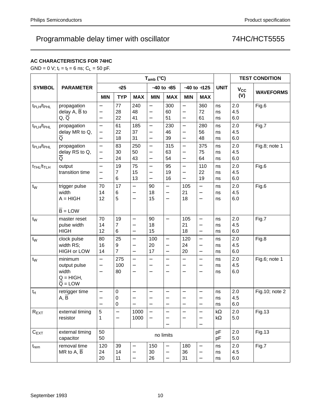### **AC CHARACTERISTICS FOR 74HC**

GND = 0 V;  $t_r = t_f = 6$  ns;  $C_L = 50$  pF.

|                                    |                                                                          |                                                            |                             |                                                                                  | $T_{amb}$ ( $°C$ )                                                 |                                                                  | <b>TEST CONDITION</b>                                                     |                                                                           |                          |                   |                  |
|------------------------------------|--------------------------------------------------------------------------|------------------------------------------------------------|-----------------------------|----------------------------------------------------------------------------------|--------------------------------------------------------------------|------------------------------------------------------------------|---------------------------------------------------------------------------|---------------------------------------------------------------------------|--------------------------|-------------------|------------------|
| <b>SYMBOL</b>                      | <b>PARAMETER</b>                                                         |                                                            | $+25$                       |                                                                                  |                                                                    | $-40$ to $+85$                                                   |                                                                           | $-40$ to $+125$                                                           | <b>UNIT</b>              | V <sub>cc</sub>   |                  |
|                                    |                                                                          | <b>MIN</b>                                                 | <b>TYP</b>                  | <b>MAX</b>                                                                       | <b>MIN</b>                                                         | <b>MAX</b>                                                       | <b>MIN</b>                                                                | <b>MAX</b>                                                                |                          | (V)               | <b>WAVEFORMS</b> |
| t <sub>PLH</sub> /t <sub>PHL</sub> | propagation<br>delay A, $\overline{B}$ to<br>Q, Q                        | $\overline{\phantom{0}}$<br>—<br>$\overline{\phantom{0}}$  | 77<br>28<br>22              | 240<br>48<br>41                                                                  | $\overline{\phantom{0}}$<br>$\qquad \qquad -$<br>$\qquad \qquad -$ | 300<br>60<br>51                                                  | $\overline{\phantom{0}}$<br>$\overline{\phantom{0}}$<br>$\qquad \qquad -$ | 360<br>72<br>61                                                           | ns<br>ns<br>ns           | 2.0<br>4.5<br>6.0 | Fig.6            |
| t <sub>PLH</sub> /t <sub>PHL</sub> | propagation<br>delay MR to Q,<br>$\overline{Q}$                          | $\overline{a}$<br><sup>-</sup><br>$\overline{\phantom{0}}$ | 61<br>22<br>18              | 185<br>37<br>31                                                                  | $\overline{\phantom{0}}$<br>$\qquad \qquad -$                      | 230<br>46<br>39                                                  | $\overline{\phantom{0}}$<br>$\overline{\phantom{0}}$<br>$\qquad \qquad -$ | 280<br>56<br>48                                                           | ns<br>ns<br>ns           | 2.0<br>4.5<br>6.0 | Fig.7            |
| t <sub>PLH</sub> /t <sub>PHL</sub> | propagation<br>delay RS to Q,<br>$\overline{\mathsf{Q}}$                 | $\overline{\phantom{0}}$<br>-<br>$\overline{\phantom{0}}$  | 83<br>30<br>24              | 250<br>50<br>43                                                                  | $\qquad \qquad -$<br>$\qquad \qquad -$                             | 315<br>63<br>54                                                  | $\overline{\phantom{0}}$<br>—<br>$\qquad \qquad -$                        | 375<br>75<br>64                                                           | ns<br>ns<br>ns           | 2.0<br>4.5<br>6.0 | Fig.8; note 1    |
| $t_{THL}/t_{TLH}$                  | output<br>transition time                                                | $\overline{a}$<br>—<br>$\overline{\phantom{0}}$            | 19<br>$\overline{7}$<br>6   | 75<br>15<br>13                                                                   | $\overline{\phantom{0}}$<br>$\qquad \qquad -$                      | 95<br>19<br>16                                                   | $\overline{\phantom{0}}$<br>—<br>$\qquad \qquad -$                        | 110<br>22<br>19                                                           | ns<br>ns<br>ns           | 2.0<br>4.5<br>6.0 | Fig.6            |
| $t_{W}$                            | trigger pulse<br>width<br>$A = HIGH$<br>$\overline{B}$ = LOW             | 70<br>14<br>12                                             | 17<br>6<br>5                | $\overline{\phantom{0}}$<br>$\overline{\phantom{0}}$<br>$\overline{\phantom{0}}$ | 90<br>18<br>15                                                     | $\equiv$<br>$\overline{\phantom{0}}$<br>$\overline{\phantom{0}}$ | 105<br>21<br>18                                                           | $\overline{\phantom{0}}$<br>$\overline{\phantom{0}}$<br>$\qquad \qquad -$ | ns<br>ns<br>ns           | 2.0<br>4.5<br>6.0 | Fig.6            |
| $t_W$                              | master reset<br>pulse width<br><b>HIGH</b>                               | 70<br>14<br>12                                             | 19<br>$\overline{7}$<br>6   | $\overline{\phantom{0}}$                                                         | 90<br>18<br>15                                                     | $\equiv$                                                         | 105<br>21<br>18                                                           | $\equiv$<br>$\qquad \qquad -$<br>$\qquad \qquad -$                        | ns<br>ns<br>ns           | 2.0<br>4.5<br>6.0 | Fig.7            |
| $t_{W}$                            | clock pulse<br>width RS;<br><b>HIGH or LOW</b>                           | 80<br>16<br>14                                             | 25<br>9<br>$\overline{7}$   | $\overline{\phantom{0}}$<br>$\overline{\phantom{0}}$<br>$\overline{\phantom{0}}$ | 100<br>20<br>17                                                    | $\qquad \qquad -$<br>$\qquad \qquad -$<br>$\qquad \qquad -$      | 120<br>24<br>20                                                           | $\overline{\phantom{0}}$<br>$\overline{\phantom{0}}$<br>$\qquad \qquad -$ | ns<br>ns<br>ns           | 2.0<br>4.5<br>6.0 | Fig.8            |
| $t_{W}$                            | minimum<br>output pulse<br>width<br>$Q = HIGH$ ,<br>$\overline{Q}$ = LOW | $\overline{\phantom{0}}$                                   | 275<br>100<br>80            | $\overline{\phantom{0}}$<br>$\overline{\phantom{0}}$<br>$\overline{\phantom{0}}$ | $\overline{\phantom{0}}$<br>$\overline{\phantom{0}}$               | $\equiv$<br>$\overline{\phantom{0}}$                             | —<br>—<br>$\overline{\phantom{0}}$                                        | $\overline{\phantom{0}}$<br>$\overline{\phantom{0}}$                      | ns<br>ns<br>ns           | 2.0<br>4.5<br>6.0 | Fig.6; note 1    |
| $t_{rt}$                           | retrigger time<br>A, B                                                   | $\overline{\phantom{0}}$                                   | $\pmb{0}$<br>$\pmb{0}$<br>0 | $\overline{\phantom{0}}$<br>—<br>$\overline{\phantom{0}}$                        | $\qquad \qquad -$                                                  | $\overline{\phantom{0}}$                                         | —                                                                         | $\overline{\phantom{0}}$                                                  | ns<br>ns<br>ns           | 2.0<br>4.5<br>6.0 | Fig.10; note 2   |
| $R_{EXT}$                          | external timing<br>resistor                                              | 5<br>1                                                     | $\overline{\phantom{0}}$    | 1000<br>1000                                                                     |                                                                    |                                                                  |                                                                           | $\qquad \qquad -$<br>$\qquad \qquad -$                                    | k $\Omega$<br>k $\Omega$ | 2.0<br>5.0        | <b>Fig.13</b>    |
| $C_{EXT}$                          | external timing<br>capacitor                                             | 50<br>50                                                   |                             |                                                                                  |                                                                    | no limits                                                        |                                                                           |                                                                           | pF<br>pF                 | 2.0<br>5.0        | <b>Fig.13</b>    |
| $t_{rem}$                          | removal time<br>MR to A, $\overline{B}$                                  | 120<br>24<br>20                                            | 39<br>14<br>11              | —                                                                                | 150<br>30<br>26                                                    | $\overline{\phantom{0}}$                                         | 180<br>36<br>31                                                           | $\qquad \qquad -$                                                         | ns<br>ns<br>ns           | 2.0<br>4.5<br>6.0 | Fig.7            |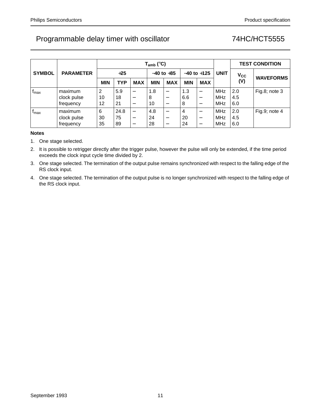|                  |                  |            |            |                          | $T_{amb}$ (°C) |                          |                 | <b>TEST CONDITION</b> |             |              |                  |
|------------------|------------------|------------|------------|--------------------------|----------------|--------------------------|-----------------|-----------------------|-------------|--------------|------------------|
| <b>SYMBOL</b>    | <b>PARAMETER</b> |            | $+25$      |                          |                | $-40$ to $+85$           | $-40$ to $+125$ |                       | <b>UNIT</b> | $V_{\rm CC}$ |                  |
|                  |                  | <b>MIN</b> | <b>TYP</b> | <b>MAX</b>               | <b>MIN</b>     | <b>MAX</b>               | <b>MIN</b>      | <b>MAX</b>            |             | (V)          | <b>WAVEFORMS</b> |
| $f_{\text{max}}$ | maximum          | 2          | 5.9        |                          | 1.8            | $\overline{\phantom{0}}$ | 1.3             |                       | <b>MHz</b>  | 2.0          | Fig.8; note $3$  |
|                  | clock pulse      | 10         | 18         | $\qquad \qquad$          | 8              | —                        | 6.6             |                       | MHz         | 4.5          |                  |
|                  | frequency        | 12         | 21         | $\overline{\phantom{m}}$ | 10             |                          | 8               |                       | MHz         | 6.0          |                  |
| $f_{\text{max}}$ | maximum          | 6          | 24.8       | $\overline{\phantom{0}}$ | 4.8            |                          | 4               |                       | <b>MHz</b>  | 2.0          | Fig.9; note 4    |
|                  | clock pulse      | 30         | 75         | $\overline{\phantom{m}}$ | 24             |                          | 20              |                       | MHz         | 4.5          |                  |
|                  | frequency        | 35         | 89         | $\overline{\phantom{0}}$ | 28             |                          | 24              |                       | MHz         | 6.0          |                  |

#### **Notes**

1. One stage selected.

2. It is possible to retrigger directly after the trigger pulse, however the pulse will only be extended, if the time period exceeds the clock input cycle time divided by 2.

3. One stage selected. The termination of the output pulse remains synchronized with respect to the falling edge of the RS clock input.

4. One stage selected. The termination of the output pulse is no longer synchronized with respect to the falling edge of the RS clock input.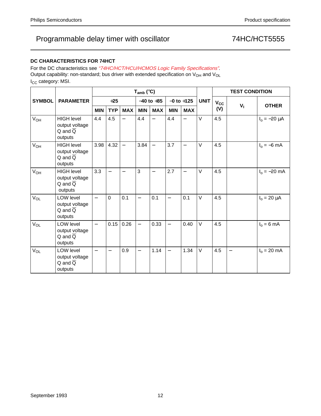### **DC CHARACTERISTICS FOR 74HCT**

For the DC characteristics see "74HC/HCT/HCU/HCMOS Logic Family Specifications". Output capability: non-standard; bus driver with extended specification on  $V_{OH}$  and  $V_{OL}$ I<sub>CC</sub> category: MSI.

|                       |                                                                          |                   | $T_{amb}$ (°C)           |                          |                          |                          |                          |                          |             |              | <b>TEST CONDITION</b>    |                   |  |  |
|-----------------------|--------------------------------------------------------------------------|-------------------|--------------------------|--------------------------|--------------------------|--------------------------|--------------------------|--------------------------|-------------|--------------|--------------------------|-------------------|--|--|
| <b>SYMBOL</b>         | <b>PARAMETER</b>                                                         |                   | $+25$                    |                          |                          | $-40$ to $+85$           |                          | $-0$ to $+125$           | <b>UNIT</b> | $V_{\rm CC}$ |                          |                   |  |  |
|                       |                                                                          | <b>MIN</b>        | <b>TYP</b>               | <b>MAX</b>               | <b>MIN</b>               | <b>MAX</b>               | <b>MIN</b>               | <b>MAX</b>               |             | (V)          | $V_{\parallel}$          | <b>OTHER</b>      |  |  |
| $V_{OH}$              | <b>HIGH level</b><br>output voltage<br>$Q$ and $\overline{Q}$<br>outputs | 4.4               | 4.5                      |                          | 4.4                      | $\overline{\phantom{0}}$ | 4.4                      | $\overline{\phantom{0}}$ | $\vee$      | 4.5          |                          | $I_0 = -20 \mu A$ |  |  |
| V <sub>OH</sub>       | <b>HIGH level</b><br>output voltage<br>$Q$ and $\overline{Q}$<br>outputs | 3.98              | 4.32                     | $\overline{\phantom{0}}$ | 3.84                     | $\overline{\phantom{m}}$ | 3.7                      | $\qquad \qquad -$        | $\vee$      | 4.5          |                          | $I_0 = -6$ mA     |  |  |
| V <sub>OH</sub>       | <b>HIGH level</b><br>output voltage<br>$Q$ and $\overline{Q}$<br>outputs | 3.3               | $\overline{\phantom{0}}$ | $\qquad \qquad -$        | 3                        | $\overline{\phantom{0}}$ | 2.7                      | $\overline{\phantom{0}}$ | $\vee$      | 4.5          |                          | $I_0 = -20$ mA    |  |  |
| <b>V<sub>OL</sub></b> | LOW level<br>output voltage<br>$Q$ and $\overline{Q}$<br>outputs         | $\overline{a}$    | $\mathbf 0$              | 0.1                      | $\overline{\phantom{0}}$ | 0.1                      | $\overline{\phantom{0}}$ | 0.1                      | $\vee$      | 4.5          |                          | $I_0 = 20 \mu A$  |  |  |
| <b>V<sub>OL</sub></b> | <b>LOW level</b><br>output voltage<br>$Q$ and $\overline{Q}$<br>outputs  | $\qquad \qquad -$ | 0.15                     | 0.26                     | $\overline{\phantom{0}}$ | 0.33                     | $\overline{\phantom{0}}$ | 0.40                     | $\vee$      | 4.5          |                          | $I_0 = 6$ mA      |  |  |
| V <sub>OL</sub>       | LOW level<br>output voltage<br>$Q$ and $\overline{Q}$<br>outputs         |                   |                          | 0.9                      | $\overline{\phantom{0}}$ | 1.14                     | $\overline{\phantom{0}}$ | 1.34                     | $\vee$      | 4.5          | $\overline{\phantom{m}}$ | $I_0 = 20$ mA     |  |  |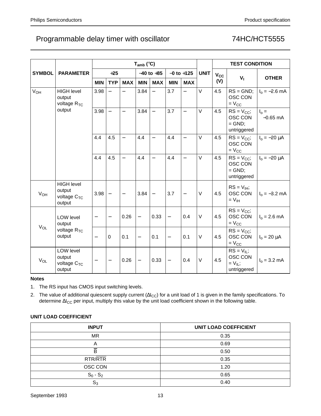|                 |                                                           |                          | $T_{amb}$ (°C)           |                          |                          |                          |                          |                          |             |          | <b>TEST CONDITION</b>                                     |                              |  |  |
|-----------------|-----------------------------------------------------------|--------------------------|--------------------------|--------------------------|--------------------------|--------------------------|--------------------------|--------------------------|-------------|----------|-----------------------------------------------------------|------------------------------|--|--|
| <b>SYMBOL</b>   | <b>PARAMETER</b>                                          |                          | $+25$                    |                          |                          | $-40$ to $+85$           |                          | $-0$ to $+125$           | <b>UNIT</b> | $V_{CC}$ |                                                           |                              |  |  |
|                 |                                                           | <b>MIN</b>               | <b>TYP</b>               | <b>MAX</b>               | <b>MIN</b>               | <b>MAX</b>               | <b>MIN</b>               | <b>MAX</b>               |             | (V)      | $V_{1}$                                                   | <b>OTHER</b>                 |  |  |
| V <sub>OH</sub> | <b>HIGH level</b><br>output<br>voltage R <sub>TC</sub>    | 3.98                     |                          | $\equiv$                 | 3.84                     | $\equiv$                 | 3.7                      | $\overline{\phantom{0}}$ | V           | 4.5      | $RS = GND$ ;<br>OSC CON<br>$= V_{CC}$                     | $I_0 = -2.6$ mA              |  |  |
|                 | output                                                    | 3.98                     | $\overline{\phantom{m}}$ | $\overline{\phantom{0}}$ | 3.84                     | $\overline{\phantom{0}}$ | 3.7                      | $\overline{\phantom{0}}$ | V           | 4.5      | $RS = V_{CC}$ ;<br>OSC CON<br>$=$ GND;<br>untriggered     | $I_{\Omega} =$<br>$-0.65$ mA |  |  |
|                 |                                                           | 4.4                      | 4.5                      | $\overline{\phantom{m}}$ | 4.4                      | $\overline{\phantom{0}}$ | 4.4                      | $\equiv$                 | V           | 4.5      | $RS = V_{CC}$ ;<br>OSC CON<br>$= V_{CC}$                  | $I_0 = -20 \mu A$            |  |  |
|                 |                                                           | 4.4                      | 4.5                      | $\qquad \qquad -$        | 4.4                      | $\equiv$                 | 4.4                      | $\equiv$                 | V           | 4.5      | $RS = V_{CC}$ ;<br>OSC CON<br>$=$ GND;<br>untriggered     | $I_0 = -20 \mu A$            |  |  |
| $V_{OH}$        | <b>HIGH level</b><br>output<br>voltage $C_{TC}$<br>output | 3.98                     |                          | $\overline{\phantom{m}}$ | 3.84                     | $\overline{\phantom{0}}$ | 3.7                      | $\qquad \qquad -$        | V           | 4.5      | $RS = V_{IH}$<br>OSC CON<br>$= VIH$                       | $I_0 = -3.2$ mA              |  |  |
| $V_{OL}$        | LOW level<br>output                                       | $\overline{\phantom{0}}$ |                          | 0.26                     | $\overline{\phantom{0}}$ | 0.33                     | $\overline{\phantom{0}}$ | 0.4                      | V           | 4.5      | $RS = V_{CC}$ ;<br>OSC CON<br>$=$ $V_{CC}$                | $I_0 = 2.6$ mA               |  |  |
|                 | voltage $R_{TC}$<br>output                                | $\qquad \qquad -$        | $\Omega$                 | 0.1                      | $\qquad \qquad -$        | 0.1                      | $\overline{\phantom{0}}$ | 0.1                      | V           | 4.5      | $RS = V_{CC}$ ;<br>OSC CON<br>$=$ $V_{CC}$                | $I_0 = 20 \mu A$             |  |  |
| $V_{OL}$        | LOW level<br>output<br>voltage $C_{TC}$<br>output         | $\qquad \qquad -$        | $\overline{\phantom{m}}$ | 0.26                     | $\overline{\phantom{0}}$ | 0.33                     | $\overline{\phantom{0}}$ | 0.4                      | V           | 4.5      | $RS = V_{IL}$ ;<br>OSC CON<br>$= V_{IL}$ ;<br>untriggered | $I_0 = 3.2$ mA               |  |  |

#### **Notes**

1. The RS input has CMOS input switching levels.

2. The value of additional quiescent supply current ( $\Delta I_{CC}$ ) for a unit load of 1 is given in the family specifications. To determine ∆I<sub>CC</sub> per input, multiply this value by the unit load coefficient shown in the following table.

### **UNIT LOAD COEFFICIENT**

| <b>INPUT</b>   | <b>UNIT LOAD COEFFICIENT</b> |
|----------------|------------------------------|
| <b>MR</b>      | 0.35                         |
| A              | 0.69                         |
| B              | 0.50                         |
| RTR/RTR        | 0.35                         |
| OSC CON        | 1.20                         |
| $S_0 - S_2$    | 0.65                         |
| $\mathbb{S}_3$ | 0.40                         |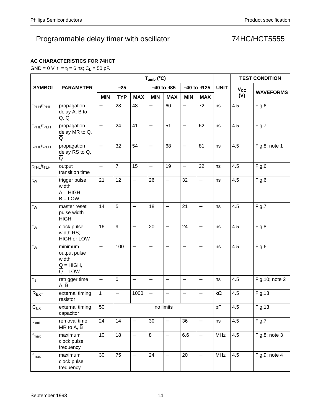## **AC CHARACTERISTICS FOR 74HCT**

GND = 0 V;  $t_r = t_f = 6$  ns;  $C_L = 50$  pF.

| <b>SYMBOL</b>                      | <b>PARAMETER</b>                                                         | $T_{amb}$ (°C)           |                   |                          |                          |                          |                          |                          |             | <b>TEST CONDITION</b> |                  |
|------------------------------------|--------------------------------------------------------------------------|--------------------------|-------------------|--------------------------|--------------------------|--------------------------|--------------------------|--------------------------|-------------|-----------------------|------------------|
|                                    |                                                                          | $+25$                    |                   |                          | $-40$ to $+85$           |                          | $-40$ to $+125$          |                          | <b>UNIT</b> | <b>V<sub>cc</sub></b> |                  |
|                                    |                                                                          | <b>MIN</b>               | <b>TYP</b>        | <b>MAX</b>               | <b>MIN</b>               | <b>MAX</b>               | <b>MIN</b>               | <b>MAX</b>               |             | (V)                   | <b>WAVEFORMS</b> |
| t <sub>PLH</sub> /t <sub>PHL</sub> | propagation<br>delay $A, \overline{B}$ to<br>$Q, \overline{Q}$           |                          | 28                | 48                       | $\overline{\phantom{0}}$ | 60                       | $\overline{\phantom{0}}$ | 72                       | ns          | 4.5                   | Fig.6            |
| t <sub>PHL</sub> /t <sub>PLH</sub> | propagation<br>delay MR to Q,<br>Q                                       | $\equiv$                 | 24                | 41                       | $\qquad \qquad -$        | 51                       | $\overline{\phantom{0}}$ | 62                       | ns          | 4.5                   | Fig.7            |
| t <sub>PHL</sub> /t <sub>PLH</sub> | propagation<br>delay RS to Q,<br>$\overline{Q}$                          | $\overline{a}$           | 32                | 54                       | $\overline{\phantom{0}}$ | 68                       | $\overline{\phantom{0}}$ | 81                       | ns          | 4.5                   | Fig.8; note 1    |
| $t_{THL}/t_{TLH}$                  | output<br>transition time                                                | $\overline{\phantom{0}}$ | $\overline{7}$    | 15                       | $\qquad \qquad -$        | 19                       | $\qquad \qquad -$        | 22                       | ns          | 4.5                   | Fig.6            |
| $t_W$                              | trigger pulse<br>width<br>$A = HIGH$<br>$\overline{B}$ = LOW             | 21                       | 12                | $\equiv$                 | 26                       | $\equiv$                 | 32                       | $\overline{\phantom{0}}$ | ns          | 4.5                   | Fig.6            |
| t <sub>w</sub>                     | master reset<br>pulse width<br><b>HIGH</b>                               | 14                       | 5                 | $\overline{\phantom{0}}$ | 18                       | $\overline{\phantom{0}}$ | 21                       | $\overline{\phantom{0}}$ | ns          | 4.5                   | Fig.7            |
| t <sub>w</sub>                     | clock pulse<br>width RS;<br><b>HIGH or LOW</b>                           | 16                       | 9                 | $\overline{\phantom{0}}$ | 20                       | $\equiv$                 | 24                       | $\overline{\phantom{0}}$ | ns          | 4.5                   | Fig.8            |
| $t_W$                              | minimum<br>output pulse<br>width<br>$Q = HIGH$ ,<br>$\overline{Q}$ = LOW | $\overline{\phantom{0}}$ | 100               | $\overline{\phantom{0}}$ | —                        | $\qquad \qquad -$        | $\overline{\phantom{0}}$ |                          | ns          | 4.5                   | Fig.6            |
| $t_{rt}$                           | retrigger time<br>A, B                                                   | $\overline{a}$           | $\mathbf 0$       |                          | $\overline{\phantom{0}}$ | $\overline{\phantom{0}}$ |                          | $\overline{\phantom{0}}$ | ns          | 4.5                   | Fig.10; note 2   |
| $R_{EXT}$                          | external timing<br>resistor                                              | 1                        | $\qquad \qquad -$ | 1000                     | $\qquad \qquad -$        | $\qquad \qquad -$        | $\qquad \qquad -$        |                          | kΩ          | 4.5                   | Fig.13           |
| $C_{EXT}$                          | external timing<br>capacitor                                             | 50<br>no limits          |                   |                          |                          |                          | pF                       | 4.5                      | Fig.13      |                       |                  |
| $t_{rem}$                          | removal time<br>MR to $A, \overline{B}$                                  | 24                       | 14                | $\overline{\phantom{0}}$ | 30                       | $\qquad \qquad -$        | 36                       | —                        | ns          | 4.5                   | Fig.7            |
| $f_{\text{max}}$                   | maximum<br>clock pulse<br>frequency                                      | 10                       | 18                | $\overline{\phantom{0}}$ | $\,8\,$                  | $\overline{\phantom{0}}$ | 6.6                      | $\overline{a}$           | MHz         | 4.5                   | Fig.8; note 3    |
| $f_{\sf max}$                      | maximum<br>clock pulse<br>frequency                                      | 30                       | 75                | $\qquad \qquad -$        | 24                       | $\qquad \qquad -$        | 20                       | $\qquad \qquad -$        | <b>MHz</b>  | 4.5                   | Fig.9; note 4    |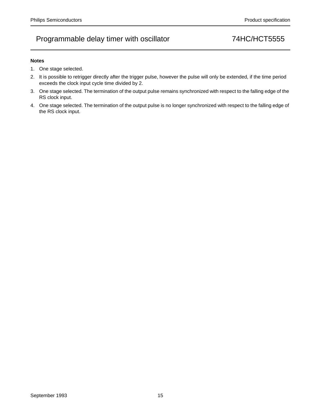#### **Notes**

- 1. One stage selected.
- 2. It is possible to retrigger directly after the trigger pulse, however the pulse will only be extended, if the time period exceeds the clock input cycle time divided by 2.
- 3. One stage selected. The termination of the output pulse remains synchronized with respect to the falling edge of the RS clock input.
- 4. One stage selected. The termination of the output pulse is no longer synchronized with respect to the falling edge of the RS clock input.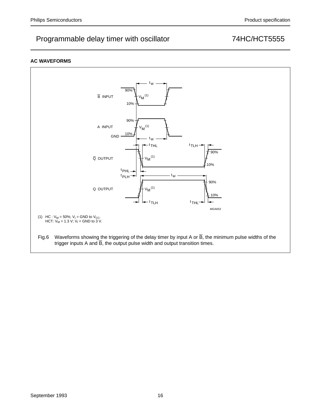### **AC WAVEFORMS**

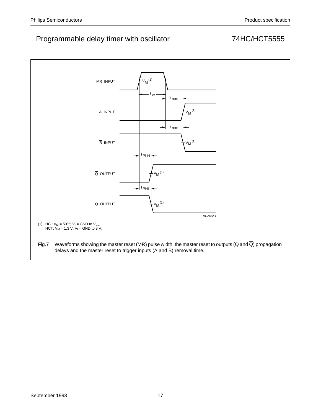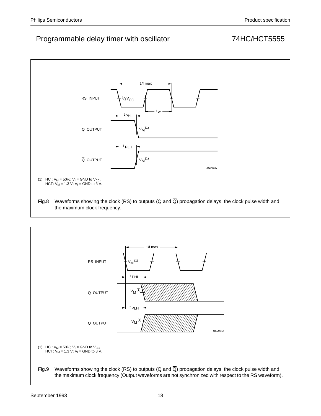

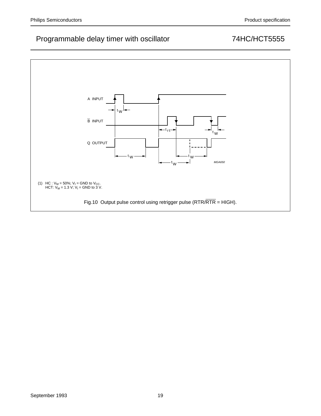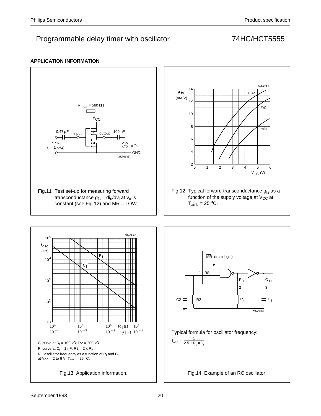### **APPLICATION INFORMATION**

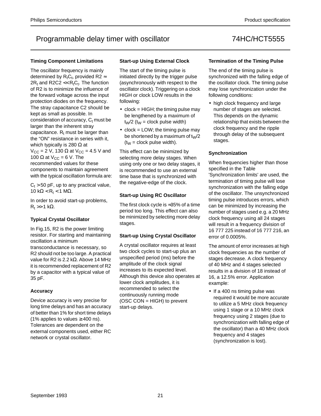#### **Timing Component Limitations**

The oscillator frequency is mainly determined by  $R_tC_t$ , provided R2  $\approx$  $2R_t$  and R2C2 <<  $R_tC_t$ . The function of R2 is to minimize the influence of the forward voltage across the input protection diodes on the frequency. The stray capacitance C2 should be kept as small as possible. In consideration of accuracy,  $C_t$  must be larger than the inherent stray capacitance.  $R_t$  must be larger than the "ON" resistance in series with it, which typically is 280  $\Omega$  at  $V_{CC}$  = 2 V, 130 Ω at V<sub>CC</sub> = 4.5 V and 100  $\Omega$  at V<sub>CC</sub> = 6 V. The recommended values for these components to maintain agreement with the typical oscillation formula are:

 $C_t$  > 50 pF, up to any practical value, 10 kΩ < R<sub>t</sub> < 1 MΩ.

In order to avoid start-up problems,  $R_t$  >> 1 kΩ.

### **Typical Crystal Oscillator**

In Fig.15, R2 is the power limiting resistor. For starting and maintaining oscillation a minimum transconductance is necessary, so R2 should not be too large. A practical value for R2 is 2.2 kΩ. Above 14 MHz it is recommended replacement of R2 by a capacitor with a typical value of 35 pF.

#### **Accuracy**

Device accuracy is very precise for long time delays and has an accuracy of better than 1% for short time delays (1% applies to values  $\geq$  400 ns). Tolerances are dependent on the external components used, either RC network or crystal oscillator.

### **Start-up Using External Clock**

The start of the timing pulse is initiated directly by the trigger pulse (asynchronously with respect to the oscillator clock). Triggering on a clock HIGH or clock LOW results in the following:

- $\bullet$  clock = HIGH; the timing pulse may be lengthened by a maximum of  $t_{\text{W}}/2$  ( $t_{\text{W}}$  = clock pulse width)
- $\bullet$  clock = LOW; the timing pulse may be shortened by a maximum of  $t<sub>W</sub>/2$  $(t<sub>W</sub>)$  = clock pulse width).

This effect can be minimized by selecting more delay stages. When using only one or two delay stages, it is recommended to use an external time base that is synchronized with the negative-edge of the clock.

### **Start-up Using RC Oscillator**

The first clock cycle is ≈35% of a time period too long. This effect can also be minimized by selecting more delay stages.

#### **Start-up Using Crystal Oscillator**

A crystal oscillator requires at least two clock cycles to start-up plus an unspecified period (ms) before the amplitude of the clock signal increases to its expected level. Although this device also operates at lower clock amplitudes, it is recommended to select the continuously running mode (OSC CON = HIGH) to prevent start-up delays.

#### **Termination of the Timing Pulse**

The end of the timing pulse is synchronized with the falling edge of the oscillator clock. The timing pulse may lose synchronization under the following conditions:

• high clock frequency and large number of stages are selected. This depends on the dynamic relationship that exists between the clock frequency and the ripple through delay of the subsequent stages.

### **Synchronization**

When frequencies higher than those specified in the Table 'Synchronization limits' are used, the termination of timing pulse will lose synchronization with the falling edge of the oscillator. The unsynchronized timing pulse introduces errors, which can be minimized by increasing the number of stages used e.g. a 20 MHz clock frequency using all 24 stages will result in a frequency division of 16 777 225 instead of 16 777 216, an error of 0.0005%.

The amount of error increases at high clock frequencies as the number of stages decrease. A clock frequency of 40 MHz and 4 stages selected results in a division of 18 instead of 16, a 12.5% error. Application example:

• If a 400 ns timing pulse was required it would be more accurate to utilize a 5 MHz clock frequency using 1 stage or a 10 MHz clock frequency using 2 stages (due to synchronization with falling edge of the oscillator) than a 40 MHz clock frequency and 4 stages (synchronization is lost).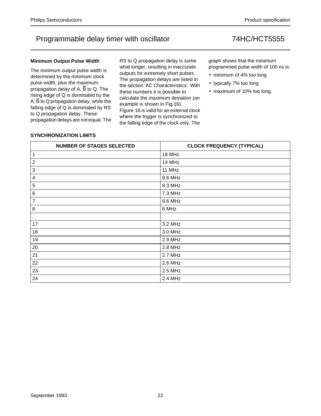#### **Minimum Output Pulse Width**

The minimum output pulse width is determined by the minimum clock pulse width, plus the maximum propagation delay of A,  $\overline{B}$  to Q. The rising edge of Q is dominated by the A,  $\overline{B}$  to Q propagation delay, while the falling edge of Q is dominated by RS to Q propagation delay. These propagation delays are not equal. The

RS to Q propagation delay is some what longer, resulting in inaccurate outputs for extremely short pulses. The propagation delays are listed in the section 'AC Characteristics'. With these numbers it is possible to calculate the maximum deviation (an example is shown in Fig.16). Figure 16 is valid for an external clock where the trigger is synchronized to the falling edge of the clock only. The

graph shows that the minimum programmed pulse width of 100 ns is:

- minimum of 4% too long
- typically 7% too long
- maximum of 10% too long.

### **SYNCHRONIZATION LIMITS**

| <b>NUMBER OF STAGES SELECTED</b> | <b>CLOCK FREQUENCY (TYPICAL)</b> |
|----------------------------------|----------------------------------|
| 1                                | 18 MHz                           |
| $\boldsymbol{2}$                 | 14 MHz                           |
| 3                                | 11 MHz                           |
| 4                                | 9.6 MHz                          |
| $\sqrt{5}$                       | 8.3 MHz                          |
| 6                                | 7.3 MHz                          |
| 7                                | 6.6 MHz                          |
| 8                                | 6 MHz                            |
| ٠                                | $\bullet$                        |
| 17                               | 3.2 MHz                          |
| 18                               | 3.0 MHz                          |
| 19                               | 2.9 MHz                          |
| 20                               | 2.8 MHz                          |
| 21                               | 2.7 MHz                          |
| 22                               | 2.6 MHz                          |
| 23                               | 2.5 MHz                          |
| 24                               | 2.4 MHz                          |